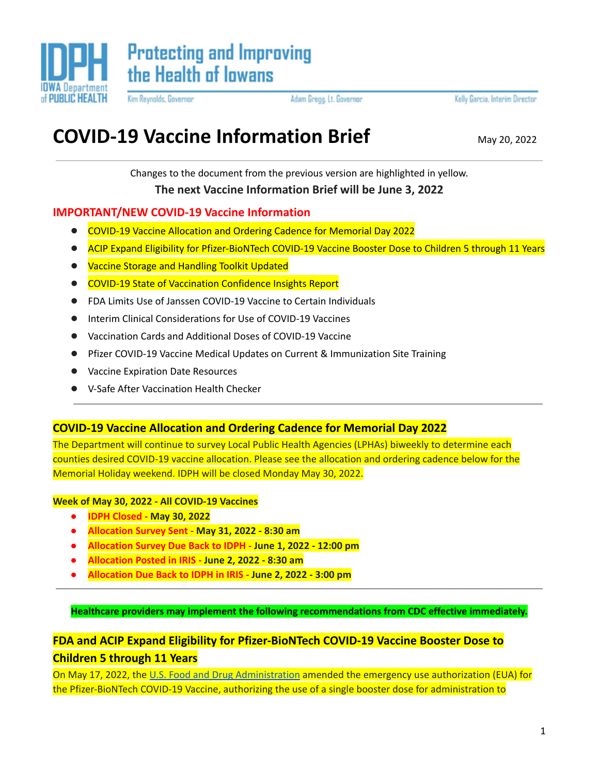

Kim Reynolds, Governor

Adam Gregg, Lt. Governor

Kelly Garcia, Interim Director

# **COVID-19 Vaccine Information Brief** May 20, 2022

Changes to the document from the previous version are highlighted in yellow.

**The next Vaccine Information Brief will be June 3, 2022**

# **IMPORTANT/NEW COVID-19 Vaccine Information**

- **●** COVID-19 Vaccine Allocation and Ordering Cadence for Memorial Day 2022
- ACIP Expand Eligibility for Pfizer-BioNTech COVID-19 Vaccine Booster Dose to Children 5 through 11 Years
- Vaccine Storage and Handling Toolkit Updated
- COVID-19 State of Vaccination Confidence Insights Report
- FDA Limits Use of Janssen COVID-19 Vaccine to Certain Individuals
- Interim Clinical Considerations for Use of COVID-19 Vaccines
- Vaccination Cards and Additional Doses of COVID-19 Vaccine
- Pfizer COVID-19 Vaccine Medical Updates on Current & Immunization Site Training
- Vaccine Expiration Date Resources
- V-Safe After Vaccination Health Checker

# **COVID-19 Vaccine Allocation and Ordering Cadence for Memorial Day 2022**

The Department will continue to survey Local Public Health Agencies (LPHAs) biweekly to determine each counties desired COVID-19 vaccine allocation. Please see the allocation and ordering cadence below for the Memorial Holiday weekend. IDPH will be closed Monday May 30, 2022.

#### **Week of May 30, 2022 - All COVID-19 Vaccines**

- **● IDPH Closed - May 30, 2022**
- **● Allocation Survey Sent - May 31, 2022 - 8:30 am**
- **● Allocation Survey Due Back to IDPH - June 1, 2022 - 12:00 pm**
- **● Allocation Posted in IRIS - June 2, 2022 - 8:30 am**
- **● Allocation Due Back to IDPH in IRIS - June 2, 2022 - 3:00 pm**

**Healthcare providers may implement the following recommendations from CDC effective immediately.**

# **FDA and ACIP Expand Eligibility for Pfizer-BioNTech COVID-19 Vaccine Booster Dose to Children 5 through 11 Years**

On May 17, 2022, the U.S. Food and Drug [Administration](https://www.fda.gov/news-events/press-announcements/coronavirus-covid-19-update-fda-expands-eligibility-pfizer-biontech-covid-19-vaccine-booster-dose) amended the emergency use authorization (EUA) for the Pfizer-BioNTech COVID-19 Vaccine, authorizing the use of a single booster dose for administration to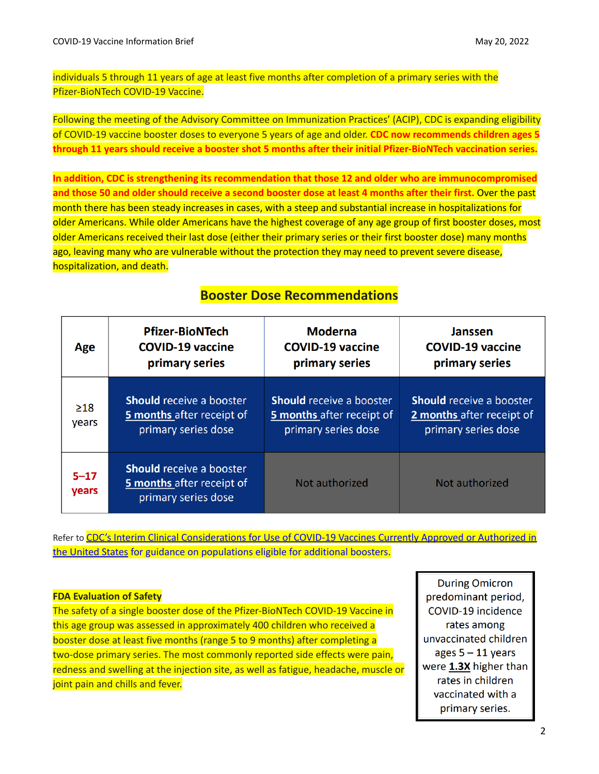individuals 5 through 11 years of age at least five months after completion of a primary series with the Pfizer-BioNTech COVID-19 Vaccine.

Following the meeting of the Advisory Committee on Immunization Practices' (ACIP), CDC is expanding eligibility of COVID-19 vaccine booster doses to everyone 5 years of age and older. **CDC now recommends children ages 5 through 11 years should receive a booster shot 5 months after their initial Pfizer-BioNTech vaccination series.**

**In addition, CDC is strengthening its recommendation that those 12 and older who are immunocompromised** and those 50 and older should receive a second booster dose at least 4 months after their first. Over the past month there has been steady increases in cases, with a steep and substantial increase in hospitalizations for older Americans. While older Americans have the highest coverage of any age group of first booster doses, most older Americans received their last dose (either their primary series or their first booster dose) many months ago, leaving many who are vulnerable without the protection they may need to prevent severe disease, hospitalization, and death.

# **Booster Dose Recommendations**

| Age                | <b>Pfizer-BioNTech</b><br><b>COVID-19 vaccine</b><br>primary series                 | <b>Moderna</b><br><b>COVID-19 vaccine</b><br>primary series                         | <b>Janssen</b><br><b>COVID-19 vaccine</b><br>primary series                         |
|--------------------|-------------------------------------------------------------------------------------|-------------------------------------------------------------------------------------|-------------------------------------------------------------------------------------|
| $\geq$ 18<br>years | <b>Should</b> receive a booster<br>5 months after receipt of<br>primary series dose | <b>Should</b> receive a booster<br>5 months after receipt of<br>primary series dose | <b>Should</b> receive a booster<br>2 months after receipt of<br>primary series dose |
| $5 - 17$<br>years  | <b>Should</b> receive a booster<br>5 months after receipt of<br>primary series dose | Not authorized                                                                      | Not authorized                                                                      |

Refer to CDC's Interim Clinical [Considerations](https://t.emailupdates.cdc.gov/r/?id=h638ed30e,165d2f8e,165d4668&e=QUNTVHJhY2tpbmdJRD1VU0NEQ18yMTIwLURNODAzNjImQUNTVHJhY2tpbmdMYWJlbD1VcGRhdGVkJTIwR3VpZGFuY2UlM0ElMjBJbnRlcmltJTIwQ2xpbmljYWwlMjBDb25zaWRlcmF0aW9ucyUyMGZvciUyMFVzZSUyMG9mJTIwQ09WSUQtMTklMjBWYWNjaW5lcw&s=uDcC5D_ThCxY4vxXhG42QgM-7lb_2gDCm43nlFjaY_0) for Use of COVID-19 Vaccines Currently Approved or Authorized in the [United](https://t.emailupdates.cdc.gov/r/?id=h638ed30e,165d2f8e,165d4668&e=QUNTVHJhY2tpbmdJRD1VU0NEQ18yMTIwLURNODAzNjImQUNTVHJhY2tpbmdMYWJlbD1VcGRhdGVkJTIwR3VpZGFuY2UlM0ElMjBJbnRlcmltJTIwQ2xpbmljYWwlMjBDb25zaWRlcmF0aW9ucyUyMGZvciUyMFVzZSUyMG9mJTIwQ09WSUQtMTklMjBWYWNjaW5lcw&s=uDcC5D_ThCxY4vxXhG42QgM-7lb_2gDCm43nlFjaY_0) States for guidance on populations eligible for additional boosters.

#### **FDA Evaluation of Safety**

The safety of a single booster dose of the Pfizer-BioNTech COVID-19 Vaccine in this age group was assessed in approximately 400 children who received a booster dose at least five months (range 5 to 9 months) after completing a two-dose primary series. The most commonly reported side effects were pain, redness and swelling at the injection site, as well as fatigue, headache, muscle or joint pain and chills and fever.

**During Omicron** predominant period, COVID-19 incidence rates among unvaccinated children ages  $5 - 11$  years were 1.3X higher than rates in children vaccinated with a primary series.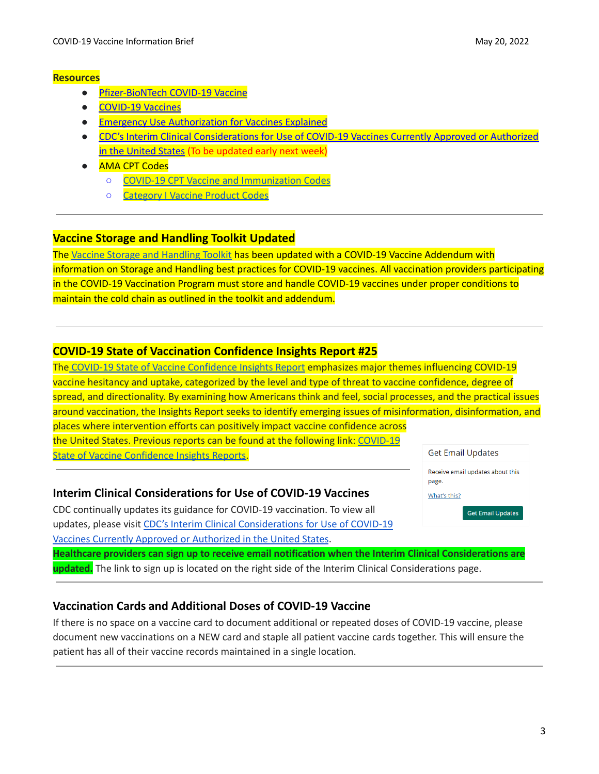#### **Resources**

- [Pfizer-BioNTech](https://lnks.gd/l/eyJhbGciOiJIUzI1NiJ9.eyJidWxsZXRpbl9saW5rX2lkIjoxMDEsInVyaSI6ImJwMjpjbGljayIsImJ1bGxldGluX2lkIjoiMjAyMjA1MTcuNTgwMjM4NDEiLCJ1cmwiOiJodHRwczovL3d3dy5mZGEuZ292L2VtZXJnZW5jeS1wcmVwYXJlZG5lc3MtYW5kLXJlc3BvbnNlL2Nvcm9uYXZpcnVzLWRpc2Vhc2UtMjAxOS1jb3ZpZC0xOS9jb21pcm5hdHktYW5kLXBmaXplci1iaW9udGVjaC1jb3ZpZC0xOS12YWNjaW5lP3V0bV9tZWRpdW09ZW1haWwmdXRtX3NvdXJjZT1nb3ZkZWxpdmVyeSJ9.zPS9l_2nj2Ca1_v6FM_zb1l4xYT0i8TEauDth1Fu5mY/s/1257200056/br/131430565874-l) COVID-19 Vaccine
- [COVID-19](https://lnks.gd/l/eyJhbGciOiJIUzI1NiJ9.eyJidWxsZXRpbl9saW5rX2lkIjoxMDIsInVyaSI6ImJwMjpjbGljayIsImJ1bGxldGluX2lkIjoiMjAyMjA1MTcuNTgwMjM4NDEiLCJ1cmwiOiJodHRwczovL3d3dy5mZGEuZ292L2VtZXJnZW5jeS1wcmVwYXJlZG5lc3MtYW5kLXJlc3BvbnNlL2Nvcm9uYXZpcnVzLWRpc2Vhc2UtMjAxOS1jb3ZpZC0xOS9jb3ZpZC0xOS12YWNjaW5lcz91dG1fbWVkaXVtPWVtYWlsJnV0bV9zb3VyY2U9Z292ZGVsaXZlcnkifQ.cHqt7rKN0VVZzmiOydEvyzqudvZituRUoXgvltm5GUI/s/1257200056/br/131430565874-l) Vaccines
- **Emergency Use [Authorization](https://lnks.gd/l/eyJhbGciOiJIUzI1NiJ9.eyJidWxsZXRpbl9saW5rX2lkIjoxMDMsInVyaSI6ImJwMjpjbGljayIsImJ1bGxldGluX2lkIjoiMjAyMjA1MTcuNTgwMjM4NDEiLCJ1cmwiOiJodHRwczovL3d3dy5mZGEuZ292L3ZhY2NpbmVzLWJsb29kLWJpb2xvZ2ljcy92YWNjaW5lcy9lbWVyZ2VuY3ktdXNlLWF1dGhvcml6YXRpb24tdmFjY2luZXMtZXhwbGFpbmVkP3V0bV9tZWRpdW09ZW1haWwmdXRtX3NvdXJjZT1nb3ZkZWxpdmVyeSJ9.b29icpl4gR2EvdY2BcOmm2R5ue-rS_hoegfuqiwYtSA/s/1257200056/br/131430565874-l) for Vaccines Explained**
- CDC's Interim Clinical [Considerations](https://t.emailupdates.cdc.gov/r/?id=h638ed30e,165d2f8e,165d4668&e=QUNTVHJhY2tpbmdJRD1VU0NEQ18yMTIwLURNODAzNjImQUNTVHJhY2tpbmdMYWJlbD1VcGRhdGVkJTIwR3VpZGFuY2UlM0ElMjBJbnRlcmltJTIwQ2xpbmljYWwlMjBDb25zaWRlcmF0aW9ucyUyMGZvciUyMFVzZSUyMG9mJTIwQ09WSUQtMTklMjBWYWNjaW5lcw&s=uDcC5D_ThCxY4vxXhG42QgM-7lb_2gDCm43nlFjaY_0) for Use of COVID-19 Vaccines Currently Approved or Authorized in the [United](https://t.emailupdates.cdc.gov/r/?id=h638ed30e,165d2f8e,165d4668&e=QUNTVHJhY2tpbmdJRD1VU0NEQ18yMTIwLURNODAzNjImQUNTVHJhY2tpbmdMYWJlbD1VcGRhdGVkJTIwR3VpZGFuY2UlM0ElMjBJbnRlcmltJTIwQ2xpbmljYWwlMjBDb25zaWRlcmF0aW9ucyUyMGZvciUyMFVzZSUyMG9mJTIwQ09WSUQtMTklMjBWYWNjaW5lcw&s=uDcC5D_ThCxY4vxXhG42QgM-7lb_2gDCm43nlFjaY_0) States (To be updated early next week)
- **AMA CPT Codes** 
	- COVID-19 CPT Vaccine and [Immunization](https://www.ama-assn.org/practice-management/cpt/covid-19-cpt-vaccine-and-immunization-codes) Codes
	- [Category](https://www.ama-assn.org/practice-management/cpt/category-i-vaccine-codes) I Vaccine Product Codes

# **Vaccine Storage and Handling Toolkit Updated**

The Vaccine Storage and [Handling](https://www.cdc.gov/vaccines/hcp/admin/storage/toolkit/storage-handling-toolkit.pdf) Toolkit has been updated with a COVID-19 Vaccine Addendum with information on Storage and Handling best practices for COVID-19 vaccines. All vaccination providers participating in the COVID-19 Vaccination Program must store and handle COVID-19 vaccines under proper conditions to maintain the cold chain as outlined in the toolkit and addendum.

# **COVID-19 State of Vaccination Confidence Insights Report #25**

The COVID-19 State of Vaccine [Confidence](https://www.cdc.gov/vaccines/covid-19/downloads/SoVC_report25.pdf) Insights Report emphasizes major themes influencing COVID-19 vaccine hesitancy and uptake, categorized by the level and type of threat to vaccine confidence, degree of spread, and directionality. By examining how Americans think and feel, social processes, and the practical issues around vaccination, the Insights Report seeks to identify emerging issues of misinformation, disinformation, and places where intervention efforts can positively impact vaccine confidence across the United States. Previous reports can be found at the following link: [COVID-19](https://www.cdc.gov/vaccines/covid-19/vaccinate-with-confidence.html#reports)

State of Vaccine [Confidence](https://www.cdc.gov/vaccines/covid-19/vaccinate-with-confidence.html#reports) Insights Reports.

#### **Get Email Updates**

Receive email updates about this page.

What's this?

**Get Email Updates** 

# **Interim Clinical Considerations for Use of COVID-19 Vaccines**

CDC continually updates its guidance for COVID-19 vaccination. To view all updates, please visit CDC's Interim Clinical [Considerations](https://t.emailupdates.cdc.gov/r/?id=h638ed30e,165d2f8e,165d4668&e=QUNTVHJhY2tpbmdJRD1VU0NEQ18yMTIwLURNODAzNjImQUNTVHJhY2tpbmdMYWJlbD1VcGRhdGVkJTIwR3VpZGFuY2UlM0ElMjBJbnRlcmltJTIwQ2xpbmljYWwlMjBDb25zaWRlcmF0aW9ucyUyMGZvciUyMFVzZSUyMG9mJTIwQ09WSUQtMTklMjBWYWNjaW5lcw&s=uDcC5D_ThCxY4vxXhG42QgM-7lb_2gDCm43nlFjaY_0) for Use of COVID-19 Vaccines Currently Approved or [Authorized](https://t.emailupdates.cdc.gov/r/?id=h638ed30e,165d2f8e,165d4668&e=QUNTVHJhY2tpbmdJRD1VU0NEQ18yMTIwLURNODAzNjImQUNTVHJhY2tpbmdMYWJlbD1VcGRhdGVkJTIwR3VpZGFuY2UlM0ElMjBJbnRlcmltJTIwQ2xpbmljYWwlMjBDb25zaWRlcmF0aW9ucyUyMGZvciUyMFVzZSUyMG9mJTIwQ09WSUQtMTklMjBWYWNjaW5lcw&s=uDcC5D_ThCxY4vxXhG42QgM-7lb_2gDCm43nlFjaY_0) in the United States.

**Healthcare providers can sign up to receive email notification when the Interim Clinical Considerations are updated.** The link to sign up is located on the right side of the Interim Clinical Considerations page.

# **Vaccination Cards and Additional Doses of COVID-19 Vaccine**

If there is no space on a vaccine card to document additional or repeated doses of COVID-19 vaccine, please document new vaccinations on a NEW card and staple all patient vaccine cards together. This will ensure the patient has all of their vaccine records maintained in a single location.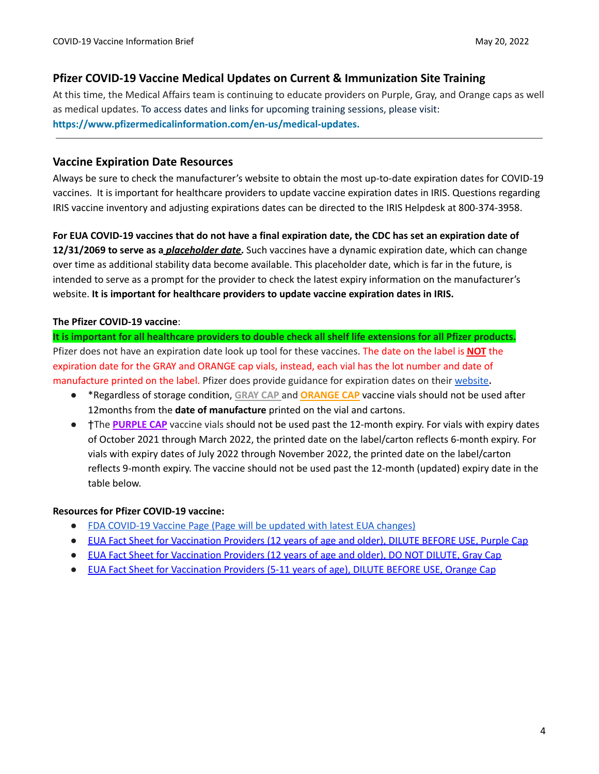# **Pfizer COVID-19 Vaccine Medical Updates on Current & Immunization Site Training**

At this time, the Medical Affairs team is continuing to educate providers on Purple, Gray, and Orange caps as well as medical updates. To access dates and links for upcoming training sessions, please visit: **[https://www.pfizermedicalinformation.com/en-us/medical-updates.](https://www.pfizermedicalinformation.com/medical-updates)**

### **Vaccine Expiration Date Resources**

Always be sure to check the manufacturer's website to obtain the most up-to-date expiration dates for COVID-19 vaccines. It is important for healthcare providers to update vaccine expiration dates in IRIS. Questions regarding IRIS vaccine inventory and adjusting expirations dates can be directed to the IRIS Helpdesk at 800-374-3958.

For EUA COVID-19 vaccines that do not have a final expiration date, the CDC has set an expiration date of **12/31/2069 to serve as a** *placeholder date***.** Such vaccines have a dynamic expiration date, which can change over time as additional stability data become available. This placeholder date, which is far in the future, is intended to serve as a prompt for the provider to check the latest expiry information on the manufacturer's website. **It is important for healthcare providers to update vaccine expiration dates in IRIS.**

### **The Pfizer COVID-19 vaccine**:

It is important for all healthcare providers to double check all shelf life extensions for all Pfizer products. Pfizer does not have an expiration date look up tool for these vaccines. The date on the label is **NOT** the expiration date for the GRAY and ORANGE cap vials, instead, each vial has the lot number and date of manufacture printed on the label. Pfizer does provide guidance for expiration dates on their [website](https://www.cvdvaccine-us.com/)**.**

- \*Regardless of storage condition, **GRAY CAP** and **ORANGE CAP** vaccine vials should not be used after 12months from the **date of manufacture** printed on the vial and cartons.
- †The **PURPLE CAP** vaccine vials should not be used past the 12-month expiry. For vials with expiry dates of October 2021 through March 2022, the printed date on the label/carton reflects 6-month expiry. For vials with expiry dates of July 2022 through November 2022, the printed date on the label/carton reflects 9-month expiry. The vaccine should not be used past the 12-month (updated) expiry date in the table below.

### **Resources for Pfizer COVID-19 vaccine:**

- FDA [COVID-19](https://www.fda.gov/emergency-preparedness-and-response/coronavirus-disease-2019-covid-19/covid-19-vaccines) Vaccine Page (Page will be updated with latest EUA changes)
- EUA Fact Sheet for [Vaccination](https://labeling.pfizer.com/ShowLabeling.aspx?id=14471&format=pdf) Providers (12 years of age and older), DILUTE BEFORE USE, Purple Cap
- EUA Fact Sheet for [Vaccination](https://labeling.pfizer.com/ShowLabeling.aspx?id=16072&format=pdf) Providers (12 years of age and older), DO NOT DILUTE, Gray Cap
- **EUA Fact Sheet for [Vaccination](https://labeling.pfizer.com/ShowLabeling.aspx?id=16073&format=pdf) Providers (5-11 years of age), DILUTE BEFORE USE, Orange Cap**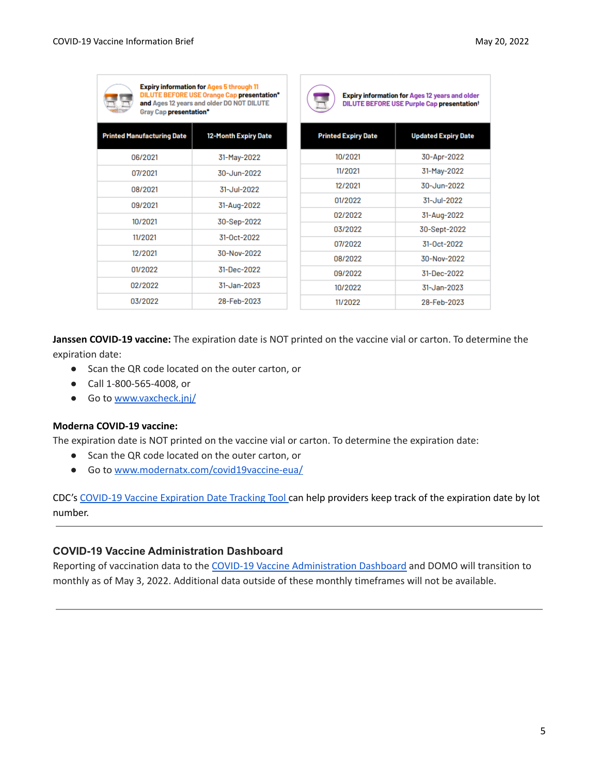| <b>Expiry information for Ages 5 through 11</b><br><b>DILUTE BEFORE USE Orange Cap presentation*</b><br>and Ages 12 years and older DO NOT DILUTE<br>Gray Cap presentation* |                      | <b>Expiry information for Ages 12 years and older</b><br><b>DILUTE BEFORE USE Purple Cap presentation!</b> |                            |
|-----------------------------------------------------------------------------------------------------------------------------------------------------------------------------|----------------------|------------------------------------------------------------------------------------------------------------|----------------------------|
| <b>Printed Manufacturing Date</b>                                                                                                                                           | 12-Month Expiry Date | <b>Printed Expiry Date</b>                                                                                 | <b>Updated Expiry Date</b> |
| 06/2021                                                                                                                                                                     | 31-May-2022          | 10/2021                                                                                                    | 30-Apr-2022                |
| 07/2021                                                                                                                                                                     | 30-Jun-2022          | 11/2021                                                                                                    | 31-May-2022                |
| 08/2021                                                                                                                                                                     | 31-Jul-2022          | 12/2021                                                                                                    | 30-Jun-2022                |
| 09/2021                                                                                                                                                                     | 31-Aug-2022          | 01/2022                                                                                                    | 31-Jul-2022                |
| 10/2021                                                                                                                                                                     | 30-Sep-2022          | 02/2022                                                                                                    | 31-Aug-2022                |
|                                                                                                                                                                             |                      | 03/2022                                                                                                    | 30-Sept-2022               |
| 11/2021                                                                                                                                                                     | 31-0ct-2022          | 07/2022                                                                                                    | 31-0ct-2022                |
| 12/2021                                                                                                                                                                     | 30-Nov-2022          | 08/2022                                                                                                    | 30-Nov-2022                |
| 01/2022                                                                                                                                                                     | 31-Dec-2022          | 09/2022                                                                                                    | 31-Dec-2022                |
| 02/2022                                                                                                                                                                     | $31 - Jan - 2023$    | 10/2022                                                                                                    | $31 - Jan - 2023$          |
| 03/2022                                                                                                                                                                     | 28-Feb-2023          | 11/2022                                                                                                    | 28-Feb-2023                |

**Janssen COVID-19 vaccine:** The expiration date is NOT printed on the vaccine vial or carton. To determine the expiration date:

- Scan the QR code located on the outer carton, or
- Call 1-800-565-4008, or
- Go to [www.vaxcheck.jnj/](http://www.vaxcheck.jnj/)

#### **Moderna COVID-19 vaccine:**

The expiration date is NOT printed on the vaccine vial or carton. To determine the expiration date:

- Scan the QR code located on the outer carton, or
- Go to [www.modernatx.com/covid19vaccine-eua/](http://www.modernatx.com/covid19vaccine-eua/)

CDC's COVID-19 Vaccine [Expiration](https://www.cdc.gov/vaccines/covid-19/downloads/expiration-tracker.pdf) Date Tracking Tool can help providers keep track of the expiration date by lot number.

#### **COVID-19 Vaccine Administration Dashboard**

Reporting of vaccination data to the COVID-19 Vaccine [Administration](https://idph.iowa.gov/Emerging-Health-Issues/Novel-Coronavirus/COVID-19-Reporting) Dashboard and DOMO will transition to monthly as of May 3, 2022. Additional data outside of these monthly timeframes will not be available.